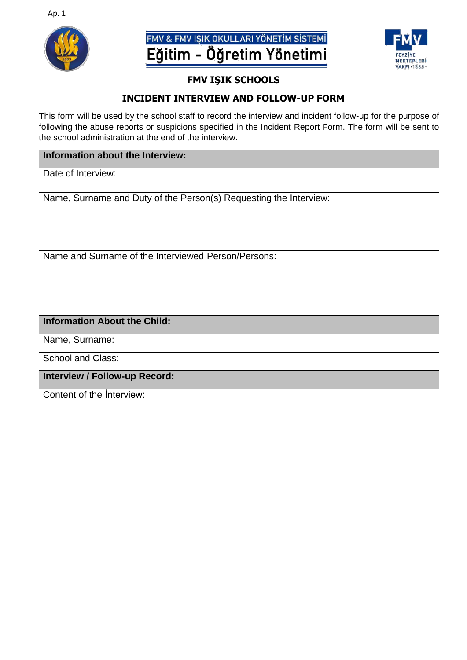

## FMV & FMV IŞIK OKULLARI YÖNETİM SİSTEMİ Eğitim - Öğretim Yönetimi



#### **FMV IŞIK SCHOOLS**

#### **INCIDENT INTERVIEW AND FOLLOW-UP FORM**

This form will be used by the school staff to record the interview and incident follow-up for the purpose of following the abuse reports or suspicions specified in the Incident Report Form. The form will be sent to the school administration at the end of the interview.

#### **Information about the Interview:**

Date of Interview:

Name, Surname and Duty of the Person(s) Requesting the Interview:

Name and Surname of the Interviewed Person/Persons:

#### **Information About the Child:**

Name, Surname:

School and Class:

**Interview / Follow-up Record:**

Content of the İnterview: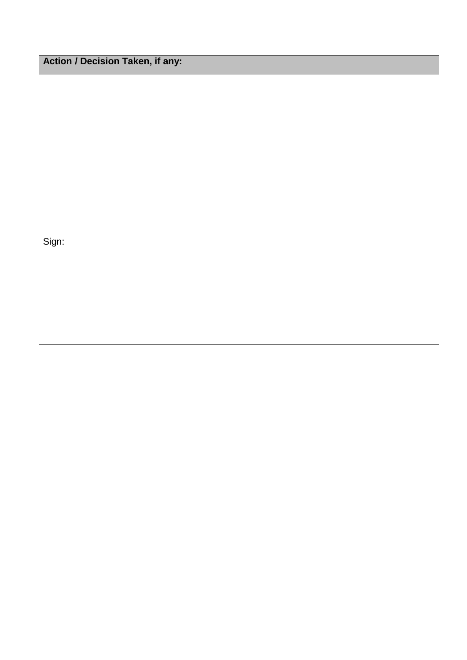Action / Decision Taken, if any:

Sign: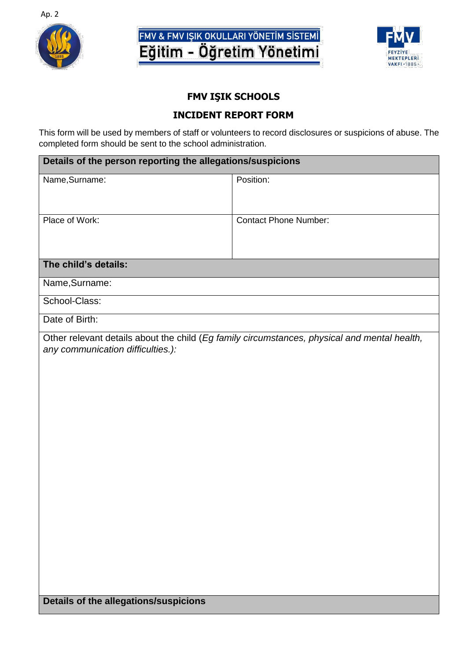

# FMV & FMV IŞIK OKULLARI YÖNETİM SİSTEMİ<br>Eğitim - Öğretim Yönetimi



### **FMV IŞIK SCHOOLS**

#### **INCIDENT REPORT FORM**

This form will be used by members of staff or volunteers to record disclosures or suspicions of abuse. The completed form should be sent to the school administration.

| Details of the person reporting the allegations/suspicions                                                                                                                        |                              |
|-----------------------------------------------------------------------------------------------------------------------------------------------------------------------------------|------------------------------|
| Name, Surname:                                                                                                                                                                    | Position:                    |
| Place of Work:                                                                                                                                                                    | <b>Contact Phone Number:</b> |
| The child's details:                                                                                                                                                              |                              |
| Name, Surname:                                                                                                                                                                    |                              |
| School-Class:                                                                                                                                                                     |                              |
| Date of Birth:                                                                                                                                                                    |                              |
| Other relevant details about the child (Eg family circumstances, physical and mental health,<br>any communication difficulties.):<br><b>Details of the allegations/suspicions</b> |                              |